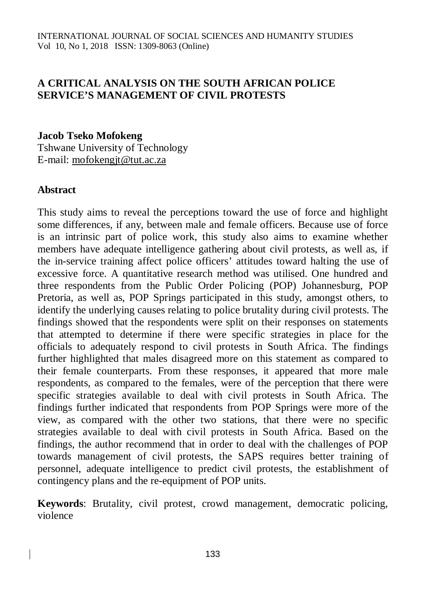#### **A CRITICAL ANALYSIS ON THE SOUTH AFRICAN POLICE SERVICE'S MANAGEMENT OF CIVIL PROTESTS**

#### **Jacob Tseko Mofokeng**

Tshwane University of Technology E-mail: [mofokengjt@tut.ac.za](mailto:mofokengjt@tut.ac.za)

#### **Abstract**

This study aims to reveal the perceptions toward the use of force and highlight some differences, if any, between male and female officers. Because use of force is an intrinsic part of police work, this study also aims to examine whether members have adequate intelligence gathering about civil protests, as well as, if the in-service training affect police officers' attitudes toward halting the use of excessive force. A quantitative research method was utilised. One hundred and three respondents from the Public Order Policing (POP) Johannesburg, POP Pretoria, as well as, POP Springs participated in this study, amongst others, to identify the underlying causes relating to police brutality during civil protests. The findings showed that the respondents were split on their responses on statements that attempted to determine if there were specific strategies in place for the officials to adequately respond to civil protests in South Africa. The findings further highlighted that males disagreed more on this statement as compared to their female counterparts. From these responses, it appeared that more male respondents, as compared to the females, were of the perception that there were specific strategies available to deal with civil protests in South Africa. The findings further indicated that respondents from POP Springs were more of the view, as compared with the other two stations, that there were no specific strategies available to deal with civil protests in South Africa. Based on the findings, the author recommend that in order to deal with the challenges of POP towards management of civil protests, the SAPS requires better training of personnel, adequate intelligence to predict civil protests, the establishment of contingency plans and the re-equipment of POP units.

**Keywords**: Brutality, civil protest, crowd management, democratic policing, violence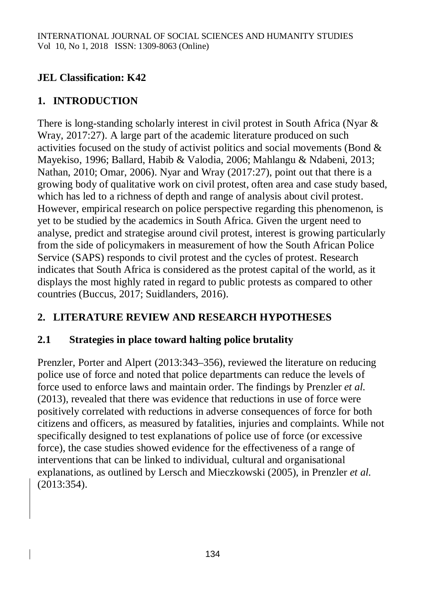## **JEL Classification: K42**

# **1. INTRODUCTION**

There is long-standing scholarly interest in civil protest in South Africa (Nyar & Wray, 2017:27). A large part of the academic literature produced on such activities focused on the study of activist politics and social movements (Bond & Mayekiso, 1996; Ballard, Habib & Valodia, 2006; Mahlangu & Ndabeni, 2013; Nathan, 2010; Omar, 2006). Nyar and Wray (2017:27), point out that there is a growing body of qualitative work on civil protest, often area and case study based, which has led to a richness of depth and range of analysis about civil protest. However, empirical research on police perspective regarding this phenomenon, is yet to be studied by the academics in South Africa. Given the urgent need to analyse, predict and strategise around civil protest, interest is growing particularly from the side of policymakers in measurement of how the South African Police Service (SAPS) responds to civil protest and the cycles of protest. Research indicates that South Africa is considered as the protest capital of the world, as it displays the most highly rated in regard to public protests as compared to other countries (Buccus, 2017; Suidlanders, 2016).

## **2. LITERATURE REVIEW AND RESEARCH HYPOTHESES**

## **2.1 Strategies in place toward halting police brutality**

Prenzler, Porter and Alpert (2013:343–356), reviewed the literature on reducing police use of force and noted that police departments can reduce the levels of force used to enforce laws and maintain order. The findings by Prenzler *et al.* (2013), revealed that there was evidence that reductions in use of force were positively correlated with reductions in adverse consequences of force for both citizens and officers, as measured by fatalities, injuries and complaints. While not specifically designed to test explanations of police use of force (or excessive force), the case studies showed evidence for the effectiveness of a range of interventions that can be linked to individual, cultural and organisational explanations, as outlined by Lersch and Mieczkowski (2005), in Prenzler *et al.* (2013:354).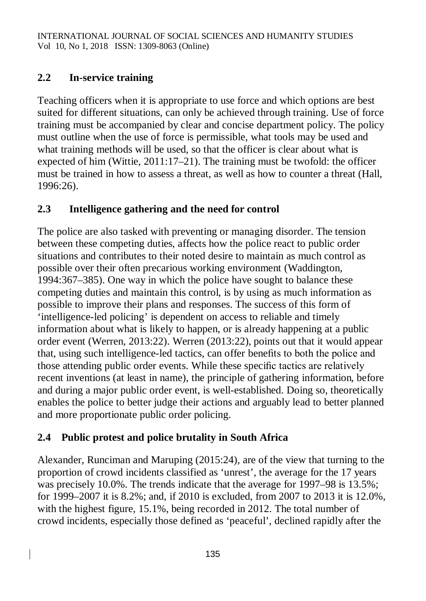## **2.2 In-service training**

Teaching officers when it is appropriate to use force and which options are best suited for different situations, can only be achieved through training. Use of force training must be accompanied by clear and concise department policy. The policy must outline when the use of force is permissible, what tools may be used and what training methods will be used, so that the officer is clear about what is expected of him (Wittie, 2011:17–21). The training must be twofold: the officer must be trained in how to assess a threat, as well as how to counter a threat (Hall, 1996:26).

## **2.3 Intelligence gathering and the need for control**

The police are also tasked with preventing or managing disorder. The tension between these competing duties, affects how the police react to public order situations and contributes to their noted desire to maintain as much control as possible over their often precarious working environment (Waddington, 1994:367–385). One way in which the police have sought to balance these competing duties and maintain this control, is by using as much information as possible to improve their plans and responses. The success of this form of 'intelligence-led policing' is dependent on access to reliable and timely information about what is likely to happen, or is already happening at a public order event (Werren, 2013:22). Werren (2013:22), points out that it would appear that, using such intelligence-led tactics, can offer benefits to both the police and those attending public order events. While these specific tactics are relatively recent inventions (at least in name), the principle of gathering information, before and during a major public order event, is well-established. Doing so, theoretically enables the police to better judge their actions and arguably lead to better planned and more proportionate public order policing.

# **2.4 Public protest and police brutality in South Africa**

Alexander, Runciman and Maruping (2015:24), are of the view that turning to the proportion of crowd incidents classified as 'unrest', the average for the 17 years was precisely 10.0%. The trends indicate that the average for 1997–98 is 13.5%; for 1999–2007 it is 8.2%; and, if 2010 is excluded, from 2007 to 2013 it is 12.0%, with the highest figure, 15.1%, being recorded in 2012. The total number of crowd incidents, especially those defined as 'peaceful', declined rapidly after the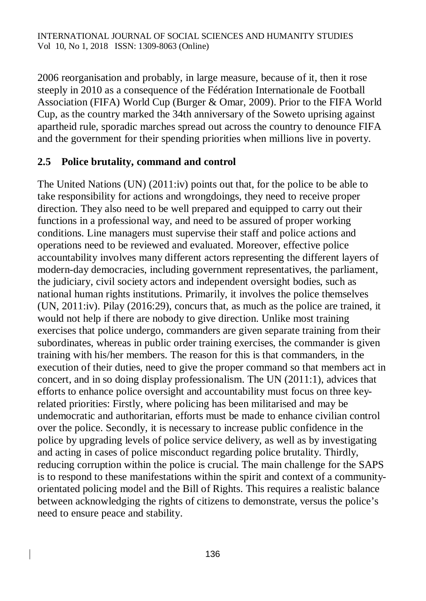2006 reorganisation and probably, in large measure, because of it, then it rose steeply in 2010 as a consequence of the Fédération Internationale de Football Association (FIFA) World Cup (Burger & Omar, 2009). Prior to the FIFA World Cup, as the country marked the 34th anniversary of the Soweto uprising against apartheid rule, sporadic marches spread out across the country to denounce FIFA and the government for their spending priorities when millions live in poverty.

#### **2.5 Police brutality, command and control**

The United Nations (UN) (2011:iv) points out that, for the police to be able to take responsibility for actions and wrongdoings, they need to receive proper direction. They also need to be well prepared and equipped to carry out their functions in a professional way, and need to be assured of proper working conditions. Line managers must supervise their staff and police actions and operations need to be reviewed and evaluated. Moreover, effective police accountability involves many different actors representing the different layers of modern-day democracies, including government representatives, the parliament, the judiciary, civil society actors and independent oversight bodies, such as national human rights institutions. Primarily, it involves the police themselves (UN, 2011:iv). Pilay (2016:29), concurs that, as much as the police are trained, it would not help if there are nobody to give direction. Unlike most training exercises that police undergo, commanders are given separate training from their subordinates, whereas in public order training exercises, the commander is given training with his/her members. The reason for this is that commanders, in the execution of their duties, need to give the proper command so that members act in concert, and in so doing display professionalism. The UN (2011:1), advices that efforts to enhance police oversight and accountability must focus on three keyrelated priorities: Firstly, where policing has been militarised and may be undemocratic and authoritarian, efforts must be made to enhance civilian control over the police. Secondly, it is necessary to increase public confidence in the police by upgrading levels of police service delivery, as well as by investigating and acting in cases of police misconduct regarding police brutality. Thirdly, reducing corruption within the police is crucial. The main challenge for the SAPS is to respond to these manifestations within the spirit and context of a communityorientated policing model and the Bill of Rights. This requires a realistic balance between acknowledging the rights of citizens to demonstrate, versus the police's need to ensure peace and stability.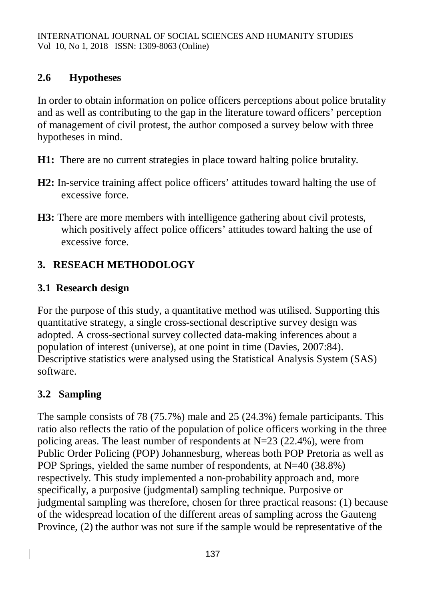## **2.6 Hypotheses**

In order to obtain information on police officers perceptions about police brutality and as well as contributing to the gap in the literature toward officers' perception of management of civil protest, the author composed a survey below with three hypotheses in mind.

- **H1:** There are no current strategies in place toward halting police brutality.
- **H2:** In-service training affect police officers' attitudes toward halting the use of excessive force.
- **H3:** There are more members with intelligence gathering about civil protests, which positively affect police officers' attitudes toward halting the use of excessive force.

# **3. RESEACH METHODOLOGY**

# **3.1 Research design**

For the purpose of this study, a quantitative method was utilised. Supporting this quantitative strategy, a single cross-sectional descriptive survey design was adopted. A cross-sectional survey collected data-making inferences about a population of interest (universe), at one point in time (Davies, 2007:84). Descriptive statistics were analysed using the Statistical Analysis System (SAS) software.

# **3.2 Sampling**

The sample consists of 78 (75.7%) male and 25 (24.3%) female participants. This ratio also reflects the ratio of the population of police officers working in the three policing areas. The least number of respondents at N=23 (22.4%), were from Public Order Policing (POP) Johannesburg, whereas both POP Pretoria as well as POP Springs, yielded the same number of respondents, at  $N=40$  (38.8%) respectively. This study implemented a non-probability approach and, more specifically, a purposive (judgmental) sampling technique. Purposive or judgmental sampling was therefore, chosen for three practical reasons: (1) because of the widespread location of the different areas of sampling across the Gauteng Province, (2) the author was not sure if the sample would be representative of the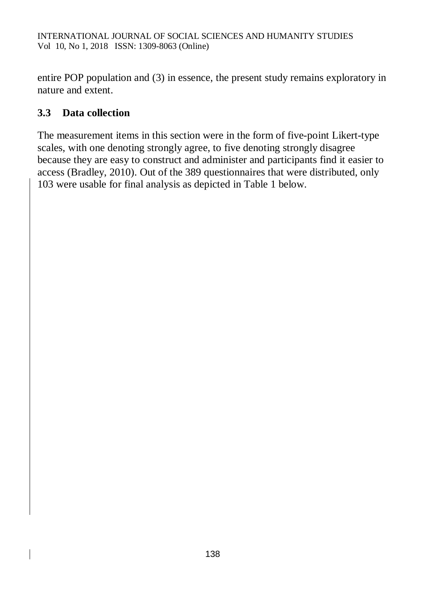entire POP population and (3) in essence, the present study remains exploratory in nature and extent.

## **3.3 Data collection**

The measurement items in this section were in the form of five-point Likert-type scales, with one denoting strongly agree, to five denoting strongly disagree because they are easy to construct and administer and participants find it easier to access (Bradley, 2010). Out of the 389 questionnaires that were distributed, only 103 were usable for final analysis as depicted in Table 1 below.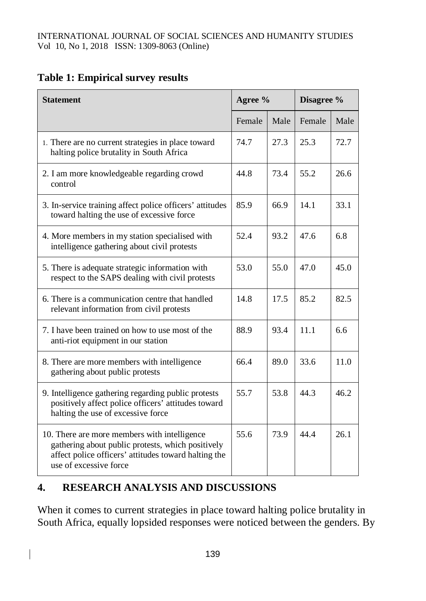|  |  | <b>Table 1: Empirical survey results</b> |  |  |
|--|--|------------------------------------------|--|--|
|--|--|------------------------------------------|--|--|

| <b>Statement</b>                                                                                                                                                                    | Agree % |      | Disagree % |      |
|-------------------------------------------------------------------------------------------------------------------------------------------------------------------------------------|---------|------|------------|------|
|                                                                                                                                                                                     | Female  | Male | Female     | Male |
| 1. There are no current strategies in place toward<br>halting police brutality in South Africa                                                                                      | 74.7    | 27.3 | 25.3       | 72.7 |
| 2. I am more knowledgeable regarding crowd<br>control                                                                                                                               | 44.8    | 73.4 | 55.2       | 26.6 |
| 3. In-service training affect police officers' attitudes<br>toward halting the use of excessive force                                                                               | 85.9    | 66.9 | 14.1       | 33.1 |
| 4. More members in my station specialised with<br>intelligence gathering about civil protests                                                                                       | 52.4    | 93.2 | 47.6       | 6.8  |
| 5. There is adequate strategic information with<br>respect to the SAPS dealing with civil protests                                                                                  | 53.0    | 55.0 | 47.0       | 45.0 |
| 6. There is a communication centre that handled<br>relevant information from civil protests                                                                                         | 14.8    | 17.5 | 85.2       | 82.5 |
| 7. I have been trained on how to use most of the<br>anti-riot equipment in our station                                                                                              | 88.9    | 93.4 | 11.1       | 6.6  |
| 8. There are more members with intelligence<br>gathering about public protests                                                                                                      | 66.4    | 89.0 | 33.6       | 11.0 |
| 9. Intelligence gathering regarding public protests<br>positively affect police officers' attitudes toward<br>halting the use of excessive force                                    | 55.7    | 53.8 | 44.3       | 46.2 |
| 10. There are more members with intelligence<br>gathering about public protests, which positively<br>affect police officers' attitudes toward halting the<br>use of excessive force | 55.6    | 73.9 | 44 4       | 26.1 |

## **4. RESEARCH ANALYSIS AND DISCUSSIONS**

 $\overline{\phantom{a}}$ 

When it comes to current strategies in place toward halting police brutality in South Africa, equally lopsided responses were noticed between the genders. By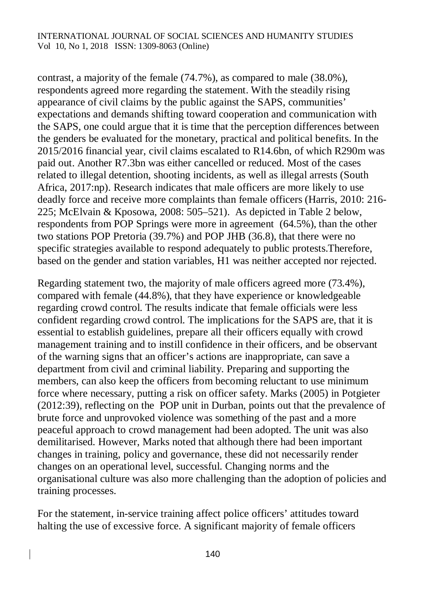#### INTERNATIONAL JOURNAL OF SOCIAL SCIENCES AND HUMANITY STUDIES Vol 10, No 1, 2018 ISSN: 1309-8063 (Online)

contrast, a majority of the female (74.7%), as compared to male (38.0%), respondents agreed more regarding the statement. With the steadily rising appearance of civil claims by the public against the SAPS, communities' expectations and demands shifting toward cooperation and communication with the SAPS, one could argue that it is time that the perception differences between the genders be evaluated for the monetary, practical and political benefits. In the 2015/2016 financial year, civil claims escalated to R14.6bn, of which R290m was paid out. Another R7.3bn was either cancelled or reduced. Most of the cases related to illegal detention, shooting incidents, as well as illegal arrests (South Africa, 2017:np). Research indicates that male officers are more likely to use deadly force and receive more complaints than female officers (Harris, 2010: 216- 225; McElvain & Kposowa, 2008: 505–521). As depicted in Table 2 below, respondents from POP Springs were more in agreement (64.5%), than the other two stations POP Pretoria (39.7%) and POP JHB (36.8), that there were no specific strategies available to respond adequately to public protests.Therefore, based on the gender and station variables, H1 was neither accepted nor rejected.

Regarding statement two, the majority of male officers agreed more (73.4%), compared with female (44.8%), that they have experience or knowledgeable regarding crowd control. The results indicate that female officials were less confident regarding crowd control. The implications for the SAPS are, that it is essential to establish guidelines, prepare all their officers equally with crowd management training and to instill confidence in their officers, and be observant of the warning signs that an officer's actions are inappropriate, can save a department from civil and criminal liability. Preparing and supporting the members, can also keep the officers from becoming reluctant to use minimum force where necessary, putting a risk on officer safety. Marks (2005) in Potgieter (2012:39), reflecting on the POP unit in Durban, points out that the prevalence of brute force and unprovoked violence was something of the past and a more peaceful approach to crowd management had been adopted. The unit was also demilitarised. However, Marks noted that although there had been important changes in training, policy and governance, these did not necessarily render changes on an operational level, successful. Changing norms and the organisational culture was also more challenging than the adoption of policies and training processes.

For the statement, in-service training affect police officers' attitudes toward halting the use of excessive force. A significant majority of female officers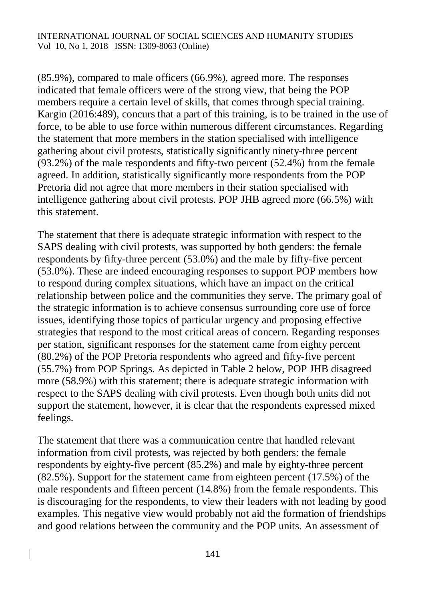(85.9%), compared to male officers (66.9%), agreed more. The responses indicated that female officers were of the strong view, that being the POP members require a certain level of skills, that comes through special training. Kargin (2016:489), concurs that a part of this training, is to be trained in the use of force, to be able to use force within numerous different circumstances. Regarding the statement that more members in the station specialised with intelligence gathering about civil protests, statistically significantly ninety-three percent (93.2%) of the male respondents and fifty-two percent (52.4%) from the female agreed. In addition, statistically significantly more respondents from the POP Pretoria did not agree that more members in their station specialised with intelligence gathering about civil protests. POP JHB agreed more (66.5%) with this statement.

The statement that there is adequate strategic information with respect to the SAPS dealing with civil protests, was supported by both genders: the female respondents by fifty-three percent (53.0%) and the male by fifty-five percent (53.0%). These are indeed encouraging responses to support POP members how to respond during complex situations, which have an impact on the critical relationship between police and the communities they serve. The primary goal of the strategic information is to achieve consensus surrounding core use of force issues, identifying those topics of particular urgency and proposing effective strategies that respond to the most critical areas of concern. Regarding responses per station, significant responses for the statement came from eighty percent (80.2%) of the POP Pretoria respondents who agreed and fifty-five percent (55.7%) from POP Springs. As depicted in Table 2 below, POP JHB disagreed more (58.9%) with this statement; there is adequate strategic information with respect to the SAPS dealing with civil protests. Even though both units did not support the statement, however, it is clear that the respondents expressed mixed feelings.

The statement that there was a communication centre that handled relevant information from civil protests, was rejected by both genders: the female respondents by eighty-five percent (85.2%) and male by eighty-three percent (82.5%). Support for the statement came from eighteen percent (17.5%) of the male respondents and fifteen percent (14.8%) from the female respondents. This is discouraging for the respondents, to view their leaders with not leading by good examples. This negative view would probably not aid the formation of friendships and good relations between the community and the POP units. An assessment of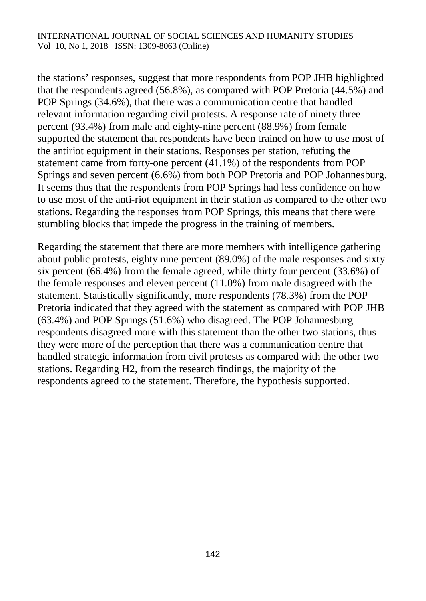the stations' responses, suggest that more respondents from POP JHB highlighted that the respondents agreed (56.8%), as compared with POP Pretoria (44.5%) and POP Springs (34.6%), that there was a communication centre that handled relevant information regarding civil protests. A response rate of ninety three percent (93.4%) from male and eighty-nine percent (88.9%) from female supported the statement that respondents have been trained on how to use most of the antiriot equipment in their stations. Responses per station, refuting the statement came from forty-one percent (41.1%) of the respondents from POP Springs and seven percent (6.6%) from both POP Pretoria and POP Johannesburg. It seems thus that the respondents from POP Springs had less confidence on how to use most of the anti-riot equipment in their station as compared to the other two stations. Regarding the responses from POP Springs, this means that there were stumbling blocks that impede the progress in the training of members.

Regarding the statement that there are more members with intelligence gathering about public protests, eighty nine percent (89.0%) of the male responses and sixty six percent (66.4%) from the female agreed, while thirty four percent (33.6%) of the female responses and eleven percent (11.0%) from male disagreed with the statement. Statistically significantly, more respondents (78.3%) from the POP Pretoria indicated that they agreed with the statement as compared with POP JHB (63.4%) and POP Springs (51.6%) who disagreed. The POP Johannesburg respondents disagreed more with this statement than the other two stations, thus they were more of the perception that there was a communication centre that handled strategic information from civil protests as compared with the other two stations. Regarding H2, from the research findings, the majority of the respondents agreed to the statement. Therefore, the hypothesis supported.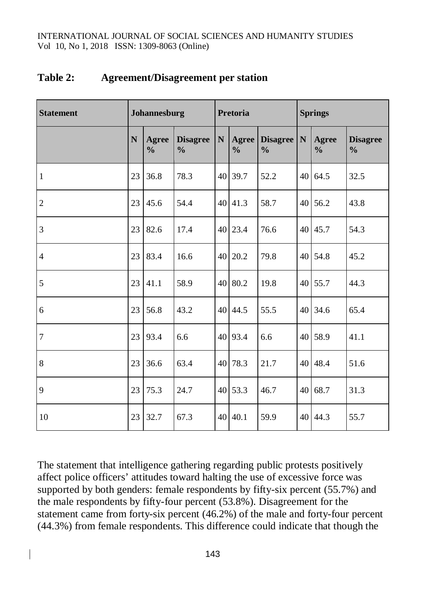| <b>Statement</b> | Johannesburg |                               | <b>Pretoria</b>                  |                 | <b>Springs</b>         |                                  |                 |                        |                                  |
|------------------|--------------|-------------------------------|----------------------------------|-----------------|------------------------|----------------------------------|-----------------|------------------------|----------------------------------|
|                  | N            | <b>Agree</b><br>$\frac{0}{0}$ | <b>Disagree</b><br>$\frac{0}{0}$ | ${\bf N}$       | Agree<br>$\frac{0}{0}$ | <b>Disagree</b><br>$\frac{0}{0}$ | $\mathbf N$     | Agree<br>$\frac{0}{0}$ | <b>Disagree</b><br>$\frac{0}{0}$ |
| $\mathbf{1}$     | 23           | 36.8                          | 78.3                             |                 | 40 39.7                | 52.2                             | 40              | 64.5                   | 32.5                             |
| $\overline{2}$   | 23           | 45.6                          | 54.4                             |                 | 40 41.3                | 58.7                             | 40 <sup>1</sup> | 56.2                   | 43.8                             |
| $\mathfrak{Z}$   | 23           | 82.6                          | 17.4                             |                 | $40$   23.4            | 76.6                             |                 | 40 45.7                | 54.3                             |
| $\overline{4}$   | 23           | 83.4                          | 16.6                             |                 | $40$   20.2            | 79.8                             |                 | $40\,$ 54.8            | 45.2                             |
| 5                | 23           | 41.1                          | 58.9                             | 40 <sup>1</sup> | 80.2                   | 19.8                             | 40              | 55.7                   | 44.3                             |
| 6                | 23           | 56.8                          | 43.2                             |                 | 40 44.5                | 55.5                             | 40              | 34.6                   | 65.4                             |
| $\boldsymbol{7}$ | 23           | 93.4                          | 6.6                              | 40 <sup> </sup> | 93.4                   | 6.6                              | 40              | 58.9                   | 41.1                             |
| $8\,$            | 23           | 36.6                          | 63.4                             | 40              | 78.3                   | 21.7                             | 40              | 48.4                   | 51.6                             |
| 9                | 23           | 75.3                          | 24.7                             |                 | 40 53.3                | 46.7                             | 40              | 68.7                   | 31.3                             |
| 10               | 23           | 32.7                          | 67.3                             | 40              | 40.1                   | 59.9                             | 40              | 44.3                   | 55.7                             |

#### **Table 2: Agreement/Disagreement per station**

The statement that intelligence gathering regarding public protests positively affect police officers' attitudes toward halting the use of excessive force was supported by both genders: female respondents by fifty-six percent (55.7%) and the male respondents by fifty-four percent (53.8%). Disagreement for the statement came from forty-six percent (46.2%) of the male and forty-four percent (44.3%) from female respondents. This difference could indicate that though the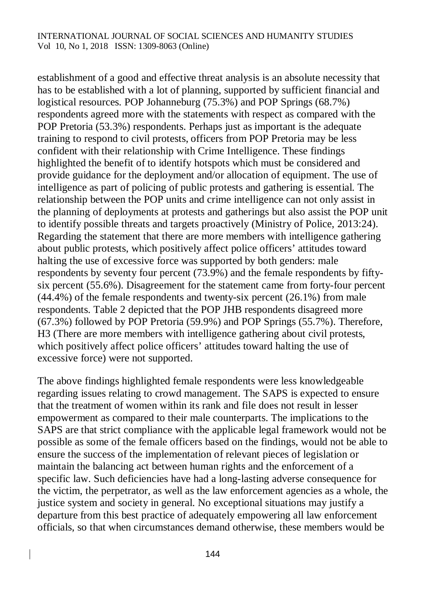establishment of a good and effective threat analysis is an absolute necessity that has to be established with a lot of planning, supported by sufficient financial and logistical resources. POP Johanneburg (75.3%) and POP Springs (68.7%) respondents agreed more with the statements with respect as compared with the POP Pretoria (53.3%) respondents. Perhaps just as important is the adequate training to respond to civil protests, officers from POP Pretoria may be less confident with their relationship with Crime Intelligence. These findings highlighted the benefit of to identify hotspots which must be considered and provide guidance for the deployment and/or allocation of equipment. The use of intelligence as part of policing of public protests and gathering is essential. The relationship between the POP units and crime intelligence can not only assist in the planning of deployments at protests and gatherings but also assist the POP unit to identify possible threats and targets proactively (Ministry of Police, 2013:24). Regarding the statement that there are more members with intelligence gathering about public protests, which positively affect police officers' attitudes toward halting the use of excessive force was supported by both genders: male respondents by seventy four percent (73.9%) and the female respondents by fiftysix percent (55.6%). Disagreement for the statement came from forty-four percent (44.4%) of the female respondents and twenty-six percent (26.1%) from male respondents. Table 2 depicted that the POP JHB respondents disagreed more (67.3%) followed by POP Pretoria (59.9%) and POP Springs (55.7%). Therefore, H3 (There are more members with intelligence gathering about civil protests, which positively affect police officers' attitudes toward halting the use of excessive force) were not supported.

The above findings highlighted female respondents were less knowledgeable regarding issues relating to crowd management. The SAPS is expected to ensure that the treatment of women within its rank and file does not result in lesser empowerment as compared to their male counterparts. The implications to the SAPS are that strict compliance with the applicable legal framework would not be possible as some of the female officers based on the findings, would not be able to ensure the success of the implementation of relevant pieces of legislation or maintain the balancing act between human rights and the enforcement of a specific law. Such deficiencies have had a long-lasting adverse consequence for the victim, the perpetrator, as well as the law enforcement agencies as a whole, the justice system and society in general. No exceptional situations may justify a departure from this best practice of adequately empowering all law enforcement officials, so that when circumstances demand otherwise, these members would be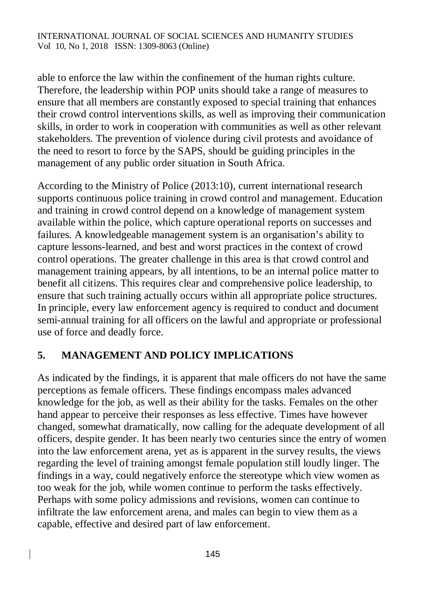able to enforce the law within the confinement of the human rights culture. Therefore, the leadership within POP units should take a range of measures to ensure that all members are constantly exposed to special training that enhances their crowd control interventions skills, as well as improving their communication skills, in order to work in cooperation with communities as well as other relevant stakeholders. The prevention of violence during civil protests and avoidance of the need to resort to force by the SAPS, should be guiding principles in the management of any public order situation in South Africa.

According to the Ministry of Police (2013:10), current international research supports continuous police training in crowd control and management. Education and training in crowd control depend on a knowledge of management system available within the police, which capture operational reports on successes and failures. A knowledgeable management system is an organisation's ability to capture lessons-learned, and best and worst practices in the context of crowd control operations. The greater challenge in this area is that crowd control and management training appears, by all intentions, to be an internal police matter to benefit all citizens. This requires clear and comprehensive police leadership, to ensure that such training actually occurs within all appropriate police structures. In principle, every law enforcement agency is required to conduct and document semi-annual training for all officers on the lawful and appropriate or professional use of force and deadly force.

## **5. MANAGEMENT AND POLICY IMPLICATIONS**

As indicated by the findings, it is apparent that male officers do not have the same perceptions as female officers. These findings encompass males advanced knowledge for the job, as well as their ability for the tasks. Females on the other hand appear to perceive their responses as less effective. Times have however changed, somewhat dramatically, now calling for the adequate development of all officers, despite gender. It has been nearly two centuries since the entry of women into the law enforcement arena, yet as is apparent in the survey results, the views regarding the level of training amongst female population still loudly linger. The findings in a way, could negatively enforce the stereotype which view women as too weak for the job, while women continue to perform the tasks effectively. Perhaps with some policy admissions and revisions, women can continue to infiltrate the law enforcement arena, and males can begin to view them as a capable, effective and desired part of law enforcement.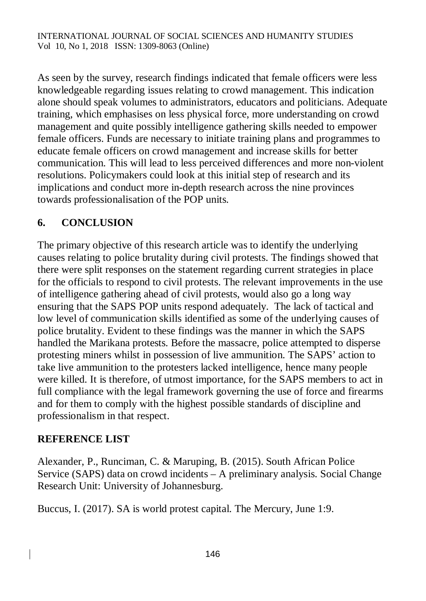As seen by the survey, research findings indicated that female officers were less knowledgeable regarding issues relating to crowd management. This indication alone should speak volumes to administrators, educators and politicians. Adequate training, which emphasises on less physical force, more understanding on crowd management and quite possibly intelligence gathering skills needed to empower female officers. Funds are necessary to initiate training plans and programmes to educate female officers on crowd management and increase skills for better communication. This will lead to less perceived differences and more non-violent resolutions. Policymakers could look at this initial step of research and its implications and conduct more in-depth research across the nine provinces towards professionalisation of the POP units.

## **6. CONCLUSION**

The primary objective of this research article was to identify the underlying causes relating to police brutality during civil protests. The findings showed that there were split responses on the statement regarding current strategies in place for the officials to respond to civil protests. The relevant improvements in the use of intelligence gathering ahead of civil protests, would also go a long way ensuring that the SAPS POP units respond adequately. The lack of tactical and low level of communication skills identified as some of the underlying causes of police brutality. Evident to these findings was the manner in which the SAPS handled the Marikana protests. Before the massacre, police attempted to disperse protesting miners whilst in possession of live ammunition. The SAPS' action to take live ammunition to the protesters lacked intelligence, hence many people were killed. It is therefore, of utmost importance, for the SAPS members to act in full compliance with the legal framework governing the use of force and firearms and for them to comply with the highest possible standards of discipline and professionalism in that respect.

#### **REFERENCE LIST**

Alexander, P., Runciman, C. & Maruping, B. (2015). South African Police Service (SAPS) data on crowd incidents – A preliminary analysis. Social Change Research Unit: University of Johannesburg.

Buccus, I. (2017). SA is world protest capital. The Mercury, June 1:9.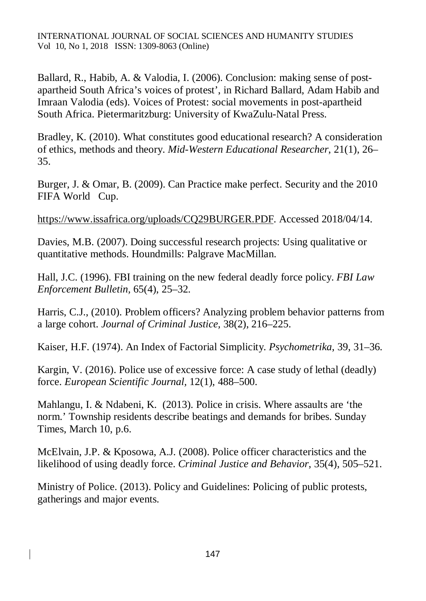Ballard, R., Habib, A. & Valodia, I. (2006). Conclusion: making sense of postapartheid South Africa's voices of protest', in Richard Ballard, Adam Habib and Imraan Valodia (eds). Voices of Protest: social movements in post-apartheid South Africa. Pietermaritzburg: University of KwaZulu-Natal Press.

Bradley, K. (2010). What constitutes good educational research? A consideration of ethics, methods and theory. *Mid-Western Educational Researcher*, 21(1), 26– 35.

Burger, J. & Omar, B. (2009). Can Practice make perfect. Security and the 2010 FIFA World Cup.

<https://www.issafrica.org/uploads/CQ29BURGER.PDF.>Accessed 2018/04/14.

Davies, M.B. (2007). Doing successful research projects: Using qualitative or quantitative methods. Houndmills: Palgrave MacMillan.

Hall, J.C. (1996). FBI training on the new federal deadly force policy. *FBI Law Enforcement Bulletin,* 65(4), 25–32.

Harris, C.J., (2010). Problem officers? Analyzing problem behavior patterns from a large cohort. *Journal of Criminal Justice,* 38(2), 216–225.

Kaiser, H.F. (1974). An Index of Factorial Simplicity. *Psychometrika*, 39, 31–36.

Kargin, V. (2016). Police use of excessive force: A case study of lethal (deadly) force. *European Scientific Journal,* 12(1), 488–500.

Mahlangu, I. & Ndabeni, K. (2013). Police in crisis. Where assaults are 'the norm.' Township residents describe beatings and demands for bribes. Sunday Times, March 10, p.6.

McElvain, J.P. & Kposowa, A.J. (2008). Police officer characteristics and the likelihood of using deadly force. *Criminal Justice and Behavior*, 35(4), 505–521.

Ministry of Police. (2013). Policy and Guidelines: Policing of public protests, gatherings and major events.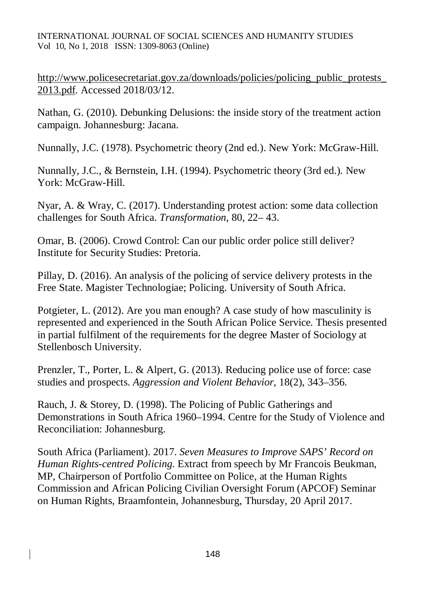INTERNATIONAL JOURNAL OF SOCIAL SCIENCES AND HUMANITY STUDIES Vol 10, No 1, 2018 ISSN: 1309-8063 (Online)

[http://www.policesecretariat.gov.za/downloads/policies/policing\\_public\\_protests\\_](http://www.policesecretariat.gov.za/downloads/policies/policing_public_protests_) 2013.pdf. Accessed 2018/03/12.

Nathan, G. (2010). Debunking Delusions: the inside story of the treatment action campaign. Johannesburg: Jacana.

Nunnally, J.C. (1978). Psychometric theory (2nd ed.). New York: McGraw-Hill.

Nunnally, J.C., & Bernstein, I.H. (1994). Psychometric theory (3rd ed.). New York: McGraw-Hill.

Nyar, A. & Wray, C. (2017). Understanding protest action: some data collection challenges for South Africa. *Transformation*, 80, 22– 43.

Omar, B. (2006). Crowd Control: Can our public order police still deliver? Institute for Security Studies: Pretoria.

Pillay, D. (2016). An analysis of the policing of service delivery protests in the Free State. Magister Technologiae; Policing. University of South Africa.

Potgieter, L. (2012). Are you man enough? A case study of how masculinity is represented and experienced in the South African Police Service. Thesis presented in partial fulfilment of the requirements for the degree Master of Sociology at Stellenbosch University.

Prenzler, T., Porter, L. & Alpert, G. (2013). Reducing police use of force: case studies and prospects. *Aggression and Violent Behavior*, 18(2), 343–356.

Rauch, J. & Storey, D. (1998). The Policing of Public Gatherings and Demonstrations in South Africa 1960–1994. Centre for the Study of Violence and Reconciliation: Johannesburg.

South Africa (Parliament). 2017. *Seven Measures to Improve SAPS' Record on Human Rights-centred Policing.* Extract from speech by Mr Francois Beukman, MP, Chairperson of Portfolio Committee on Police, at the Human Rights Commission and African Policing Civilian Oversight Forum (APCOF) Seminar on Human Rights, Braamfontein, Johannesburg, Thursday, 20 April 2017.